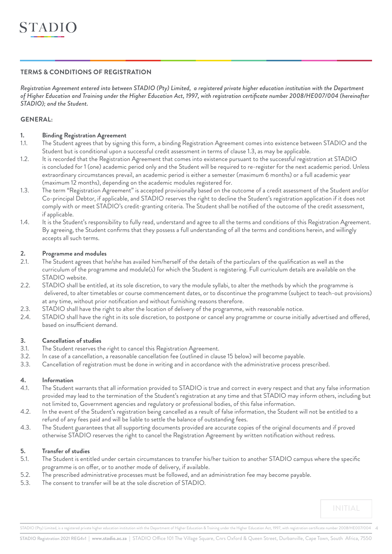## **TERMS & CONDITIONS OF REGISTRATION**

*Registration Agreement entered into between STADIO (Pty) Limited, a registered private higher education institution with the Department of Higher Education and Training under the Higher Education Act, 1997, with registration certificate number 2008/HE007/004 (hereinafter STADIO); and the Student.*

## **GENERAL:**

## **1. Binding Registration Agreement**

- 1.1. The Student agrees that by signing this form, a binding Registration Agreement comes into existence between STADIO and the Student but is conditional upon a successful credit assessment in terms of clause 1.3, as may be applicable.
- 1.2. It is recorded that the Registration Agreement that comes into existence pursuant to the successful registration at STADIO is concluded for 1 (one) academic period only and the Student will be required to re-register for the next academic period. Unless extraordinary circumstances prevail, an academic period is either a semester (maximum 6 months) or a full academic year (maximum 12 months), depending on the academic modules registered for.
- 1.3. The term "Registration Agreement" is accepted provisionally based on the outcome of a credit assessment of the Student and/or Co-principal Debtor, if applicable, and STADIO reserves the right to decline the Student's registration application if it does not comply with or meet STADIO's credit-granting criteria. The Student shall be notified of the outcome of the credit assessment, if applicable.
- 1.4. It is the Student's responsibility to fully read, understand and agree to all the terms and conditions of this Registration Agreement. By agreeing, the Student confirms that they possess a full understanding of all the terms and conditions herein, and willingly accepts all such terms.

## **2. Programme and modules**

- 2.1. The Student agrees that he/she has availed him/herself of the details of the particulars of the qualification as well as the curriculum of the programme and module(s) for which the Student is registering. Full curriculum details are available on the STADIO website.
- 2.2. STADIO shall be entitled, at its sole discretion, to vary the module syllabi, to alter the methods by which the programme is delivered, to alter timetables or course commencement dates, or to discontinue the programme (subject to teach-out provisions) at any time, without prior notification and without furnishing reasons therefore.
- 2.3. STADIO shall have the right to alter the location of delivery of the programme, with reasonable notice.
- 2.4. STADIO shall have the right in its sole discretion, to postpone or cancel any programme or course initially advertised and offered, based on insufficient demand.

## **3. Cancellation of studies**

- 3.1. The Student reserves the right to cancel this Registration Agreement.
- 3.2. In case of a cancellation, a reasonable cancellation fee (outlined in clause 15 below) will become payable.
- 3.3. Cancellation of registration must be done in writing and in accordance with the administrative process prescribed.

## **4. Information**

- 4.1. The Student warrants that all information provided to STADIO is true and correct in every respect and that any false information provided may lead to the termination of the Student's registration at any time and that STADIO may inform others, including but not limited to, Government agencies and regulatory or professional bodies, of this false information.
- 4.2. In the event of the Student's registration being cancelled as a result of false information, the Student will not be entitled to a refund of any fees paid and will be liable to settle the balance of outstanding fees.
- 4.3. The Student guarantees that all supporting documents provided are accurate copies of the original documents and if proved otherwise STADIO reserves the right to cancel the Registration Agreement by written notification without redress.

## **5. Transfer of studies**

- 5.1. The Student is entitled under certain circumstances to transfer his/her tuition to another STADIO campus where the specific programme is on offer, or to another mode of delivery, if available.
- 5.2. The prescribed administrative processes must be followed, and an administration fee may become payable.
- 5.3. The consent to transfer will be at the sole discretion of STADIO.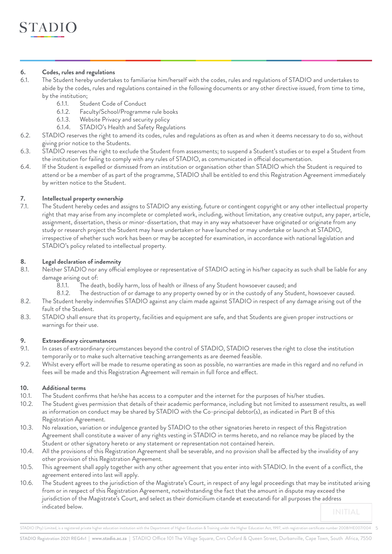## **6. Codes, rules and regulations**

- 6.1. The Student hereby undertakes to familiarise him/herself with the codes, rules and regulations of STADIO and undertakes to abide by the codes, rules and regulations contained in the following documents or any other directive issued, from time to time, by the institution;
	- 6.1.1. Student Code of Conduct
	- 6.1.2. Faculty/School/Programme rule books
	- 6.1.3. Website Privacy and security policy
	- 6.1.4. STADIO's Health and Safety Regulations
- 6.2. STADIO reserves the right to amend its codes, rules and regulations as often as and when it deems necessary to do so, without giving prior notice to the Students.
- 6.3. STADIO reserves the right to exclude the Student from assessments; to suspend a Student's studies or to expel a Student from the institution for failing to comply with any rules of STADIO, as communicated in official documentation.
- 6.4. If the Student is expelled or dismissed from an institution or organisation other than STADIO which the Student is required to attend or be a member of as part of the programme, STADIO shall be entitled to end this Registration Agreement immediately by written notice to the Student.

## **7. Intellectual property ownership**

7.1. The Student hereby cedes and assigns to STADIO any existing, future or contingent copyright or any other intellectual property right that may arise from any incomplete or completed work, including, without limitation, any creative output, any paper, article, assignment, dissertation, thesis or minor-dissertation, that may in any way whatsoever have originated or originate from any study or research project the Student may have undertaken or have launched or may undertake or launch at STADIO, irrespective of whether such work has been or may be accepted for examination, in accordance with national legislation and STADIO's policy related to intellectual property.

## **8. Legal declaration of indemnity**

- 8.1. Neither STADIO nor any official employee or representative of STADIO acting in his/her capacity as such shall be liable for any damage arising out of:
	- 8.1.1. The death, bodily harm, loss of health or illness of any Student howsoever caused; and
	- 8.1.2. The destruction of or damage to any property owned by or in the custody of any Student, howsoever caused.
- 8.2. The Student hereby indemnifies STADIO against any claim made against STADIO in respect of any damage arising out of the fault of the Student.
- 8.3. STADIO shall ensure that its property, facilities and equipment are safe, and that Students are given proper instructions or warnings for their use.

## **9. Extraordinary circumstances**

- 9.1. In cases of extraordinary circumstances beyond the control of STADIO, STADIO reserves the right to close the institution temporarily or to make such alternative teaching arrangements as are deemed feasible.
- 9.2. Whilst every effort will be made to resume operating as soon as possible, no warranties are made in this regard and no refund in fees will be made and this Registration Agreement will remain in full force and effect.

## **10. Additional terms**

- 10.1. The Student confirms that he/she has access to a computer and the internet for the purposes of his/her studies.
- 10.2. The Student gives permission that details of their academic performance, including but not limited to assessment results, as well as information on conduct may be shared by STADIO with the Co-principal debtor(s), as indicated in Part B of this Registration Agreement.
- 10.3. No relaxation, variation or indulgence granted by STADIO to the other signatories hereto in respect of this Registration Agreement shall constitute a waiver of any rights vesting in STADIO in terms hereto, and no reliance may be placed by the Student or other signatory hereto or any statement or representation not contained herein.
- 10.4. All the provisions of this Registration Agreement shall be severable, and no provision shall be affected by the invalidity of any other provision of this Registration Agreement.
- 10.5. This agreement shall apply together with any other agreement that you enter into with STADIO. In the event of a conflict, the agreement entered into last will apply.
- 10.6. The Student agrees to the jurisdiction of the Magistrate's Court, in respect of any legal proceedings that may be instituted arising from or in respect of this Registration Agreement, notwithstanding the fact that the amount in dispute may exceed the jurisdiction of the Magistrate's Court, and select as their domicilium citande et executandi for all purposes the address indicated below.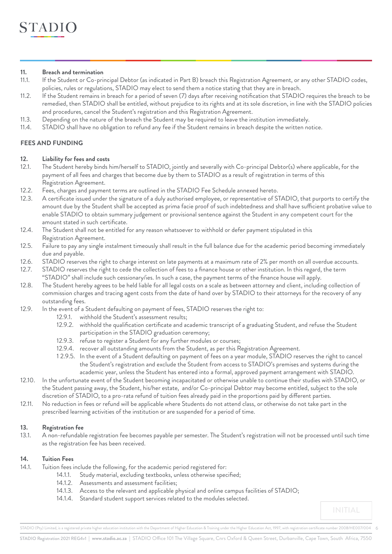### **11. Breach and termination**

- 11.1. If the Student or Co-principal Debtor (as indicated in Part B) breach this Registration Agreement, or any other STADIO codes, policies, rules or regulations, STADIO may elect to send them a notice stating that they are in breach.
- 11.2. If the Student remains in breach for a period of seven (7) days after receiving notification that STADIO requires the breach to be remedied, then STADIO shall be entitled, without prejudice to its rights and at its sole discretion, in line with the STADIO policies and procedures, cancel the Student's registration and this Registration Agreement.
- 11.3. Depending on the nature of the breach the Student may be required to leave the institution immediately.
- 11.4. STADIO shall have no obligation to refund any fee if the Student remains in breach despite the written notice.

# **FEES AND FUNDING**

#### **12. Liability for fees and costs**

- 12.1. The Student hereby binds him/herself to STADIO, jointly and severally with Co-principal Debtor(s) where applicable, for the payment of all fees and charges that become due by them to STADIO as a result of registration in terms of this Registration Agreement.
- 12.2. Fees, charges and payment terms are outlined in the STADIO Fee Schedule annexed hereto.
- 12.3. A certificate issued under the signature of a duly authorised employee, or representative of STADIO, that purports to certify the amount due by the Student shall be accepted as prima facie proof of such indebtedness and shall have sufficient probative value to enable STADIO to obtain summary judgement or provisional sentence against the Student in any competent court for the amount stated in such certificate.
- 12.4. The Student shall not be entitled for any reason whatsoever to withhold or defer payment stipulated in this Registration Agreement.
- 12.5. Failure to pay any single instalment timeously shall result in the full balance due for the academic period becoming immediately due and payable.
- 12.6. STADIO reserves the right to charge interest on late payments at a maximum rate of 2% per month on all overdue accounts.
- 12.7. STADIO reserves the right to cede the collection of fees to a finance house or other institution. In this regard, the term "STADIO" shall include such cessionary/ies. In such a case, the payment terms of the finance house will apply.
- 12.8. The Student hereby agrees to be held liable for all legal costs on a scale as between attorney and client, including collection of commission charges and tracing agent costs from the date of hand over by STADIO to their attorneys for the recovery of any outstanding fees.
- 12.9. In the event of a Student defaulting on payment of fees, STADIO reserves the right to:
	- 12.9.1. withhold the Student's assessment results;
	- 12.9.2. withhold the qualification certificate and academic transcript of a graduating Student, and refuse the Student participation in the STADIO graduation ceremony;
	- 12.9.3. refuse to register a Student for any further modules or courses;
	- 12.9.4. recover all outstanding amounts from the Student, as per this Registration Agreement.
	- 1 2.9.5. In the event of a Student defaulting on payment of fees on a year module, STADIO reserves the right to cancel the Student's registration and exclude the Student from access to STADIO's premises and systems during the academic year, unless the Student has entered into a formal, approved payment arrangement with STADIO.
- 12.10. In the unfortunate event of the Student becoming incapacitated or otherwise unable to continue their studies with STADIO, or the Student passing away, the Student, his/her estate, and/or Co-principal Debtor may become entitled, subject to the sole discretion of STADIO, to a pro-rata refund of tuition fees already paid in the proportions paid by different parties.
- 12.11. No reduction in fees or refund will be applicable where Students do not attend class, or otherwise do not take part in the prescribed learning activities of the institution or are suspended for a period of time.

## **13. Registration fee**

13.1. A non-refundable registration fee becomes payable per semester. The Student's registration will not be processed until such time as the registration fee has been received.

## **14. Tuition Fees**

- 14.1. Tuition fees include the following, for the academic period registered for:
	- 14.1.1. Study material, excluding textbooks, unless otherwise specified;
	- 14.1.2. Assessments and assessment facilities;
	- 14.1.3. Access to the relevant and applicable physical and online campus facilities of STADIO;
	- 14.1.4. Standard student support services related to the modules selected.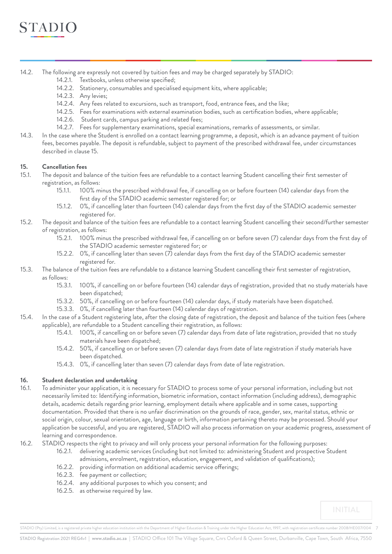

- 14.2. The following are expressly not covered by tuition fees and may be charged separately by STADIO:
	- 14.2.1. Textbooks, unless otherwise specified;
	- 14.2.2. Stationery, consumables and specialised equipment kits, where applicable;
	- 14.2.3. Any levies;
	- 14.2.4. Any fees related to excursions, such as transport, food, entrance fees, and the like;
	- 14.2.5. Fees for examinations with external examination bodies, such as certification bodies, where applicable;
	- 14.2.6. Student cards, campus parking and related fees;
	- 14.2.7. Fees for supplementary examinations, special examinations, remarks of assessments, or similar.
- 14.3. In the case where the Student is enrolled on a contact learning programme, a deposit, which is an advance payment of tuition fees, becomes payable. The deposit is refundable, subject to payment of the prescribed withdrawal fee, under circumstances described in clause 15.

#### **15. Cancellation fees**

- 15.1. The deposit and balance of the tuition fees are refundable to a contact learning Student cancelling their first semester of registration, as follows:
	- 15.1.1. 100% minus the prescribed withdrawal fee, if cancelling on or before fourteen (14) calendar days from the first day of the STADIO academic semester registered for; or
	- 15.1.2. 0%, if cancelling later than fourteen (14) calendar days from the first day of the STADIO academic semester registered for.
- 15.2. The deposit and balance of the tuition fees are refundable to a contact learning Student cancelling their second/further semester of registration, as follows:
	- 15.2.1. 100% minus the prescribed withdrawal fee, if cancelling on or before seven (7) calendar days from the first day of the STADIO academic semester registered for; or
	- 15.2.2. 0%, if cancelling later than seven (7) calendar days from the first day of the STADIO academic semester registered for.
- 15.3. The balance of the tuition fees are refundable to a distance learning Student cancelling their first semester of registration, as follows:
	- 15.3.1. 100%, if cancelling on or before fourteen (14) calendar days of registration, provided that no study materials have been dispatched;
	- 15.3.2. 50%, if cancelling on or before fourteen (14) calendar days, if study materials have been dispatched.
	- 15.3.3. 0%, if cancelling later than fourteen (14) calendar days of registration.
- 15.4. In the case of a Student registering late, after the closing date of registration, the deposit and balance of the tuition fees (where applicable), are refundable to a Student cancelling their registration, as follows:
	- 15.4.1. 100%, if cancelling on or before seven (7) calendar days from date of late registration, provided that no study materials have been dispatched;
	- 15.4.2. 50%, if cancelling on or before seven (7) calendar days from date of late registration if study materials have been dispatched.
	- 15.4.3. 0%, if cancelling later than seven (7) calendar days from date of late registration.

#### **16. Student declaration and undertaking**

- 16.1. To administer your application, it is necessary for STADIO to process some of your personal information, including but not necessarily limited to: Identifying information, biometric information, contact information (including address), demographic details, academic details regarding prior learning, employment details where applicable and in some cases, supporting documentation. Provided that there is no unfair discrimination on the grounds of race, gender, sex, marital status, ethnic or social origin, colour, sexual orientation, age, language or birth, information pertaining thereto may be processed. Should your application be successful, and you are registered, STADIO will also process information on your academic progress, assessment of learning and correspondence.
- 16.2. STADIO respects the right to privacy and will only process your personal information for the following purposes:
	- 16.2.1. delivering academic services (including but not limited to: administering Student and prospective Student admissions, enrolment, registration, education, engagement, and validation of qualifications);
	- 16.2.2. providing information on additional academic service offerings;
	- 16.2.3. fee payment or collection;
	- 16.2.4. any additional purposes to which you consent; and
	- 16.2.5. as otherwise required by law.

STADIO (Pty) Limited, is a registered private higher education institution with the Department of Higher Education & Training under the Higher Education Act, 1997, with registration certificate number 2008/HE007/004